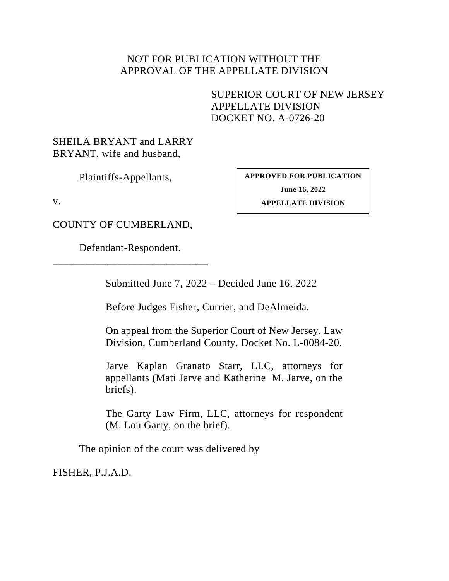## NOT FOR PUBLICATION WITHOUT THE APPROVAL OF THE APPELLATE DIVISION

SUPERIOR COURT OF NEW JERSEY APPELLATE DIVISION DOCKET NO. A-0726-20

SHEILA BRYANT and LARRY BRYANT, wife and husband,

Plaintiffs-Appellants,

<span id="page-0-0"></span>**APPROVED FOR PUBLICATION June 16, 2022 APPELLATE DIVISION**

v.

COUNTY OF CUMBERLAND,

Defendant-Respondent. \_\_\_\_\_\_\_\_\_\_\_\_\_\_\_\_\_\_\_\_\_\_\_\_\_\_\_\_\_

Submitted June 7, 2022 – Decided June 16, 2022

Before Judges Fisher, Currier, and DeAlmeida.

On appeal from the Superior Court of New Jersey, Law Division, Cumberland County, Docket No. L-0084-20.

Jarve Kaplan Granato Starr, LLC, attorneys for appellants (Mati Jarve and Katherine M. Jarve, on the briefs).

The Garty Law Firm, LLC, attorneys for respondent (M. Lou Garty, on the brief).

The opinion of the court was delivered by

FISHER, P.J.A.D.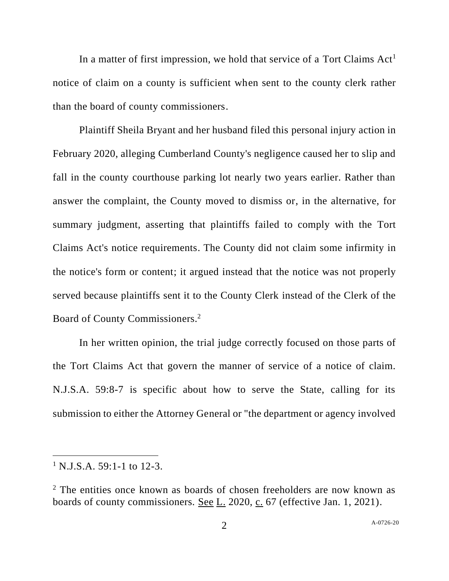In a matter of first impression, we hold that service of a Tort Claims  $Act<sup>1</sup>$ notice of claim on a county is sufficient when sent to the county clerk rather than the board of county commissioners.

Plaintiff Sheila Bryant and her husband filed this personal injury action in February 2020, alleging Cumberland County's negligence caused her to slip and fall in the county courthouse parking lot nearly two years earlier. Rather than answer the complaint, the County moved to dismiss or, in the alternative, for summary judgment, asserting that plaintiffs failed to comply with the Tort Claims Act's notice requirements. The County did not claim some infirmity in the notice's form or content; it argued instead that the notice was not properly served because plaintiffs sent it to the County Clerk instead of the Clerk of the Board of County Commissioners. 2

In her written opinion, the trial judge correctly focused on those parts of the Tort Claims Act that govern the manner of service of a notice of claim. N.J.S.A. 59:8-7 is specific about how to serve the State, calling for its submission to either the Attorney General or "the department or agency involved

 $1$  N.J.S.A. 59:1-1 to 12-3.

<sup>&</sup>lt;sup>2</sup> The entities once known as boards of chosen freeholders are now known as boards of county commissioners. See L. 2020, c. 67 (effective Jan. 1, 2021).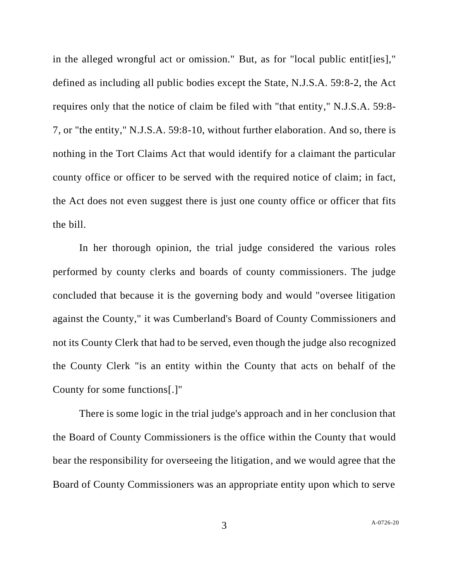in the alleged wrongful act or omission." But, as for "local public entit[ies]," defined as including all public bodies except the State, N.J.S.A. 59:8-2, the Act requires only that the notice of claim be filed with "that entity," N.J.S.A. 59:8- 7, or "the entity," N.J.S.A. 59:8-10, without further elaboration. And so, there is nothing in the Tort Claims Act that would identify for a claimant the particular county office or officer to be served with the required notice of claim; in fact, the Act does not even suggest there is just one county office or officer that fits the bill.

In her thorough opinion, the trial judge considered the various roles performed by county clerks and boards of county commissioners. The judge concluded that because it is the governing body and would "oversee litigation against the County," it was Cumberland's Board of County Commissioners and not its County Clerk that had to be served, even though the judge also recognized the County Clerk "is an entity within the County that acts on behalf of the County for some functions[.]"

There is some logic in the trial judge's approach and in her conclusion that the Board of County Commissioners is the office within the County that would bear the responsibility for overseeing the litigation, and we would agree that the Board of County Commissioners was an appropriate entity upon which to serve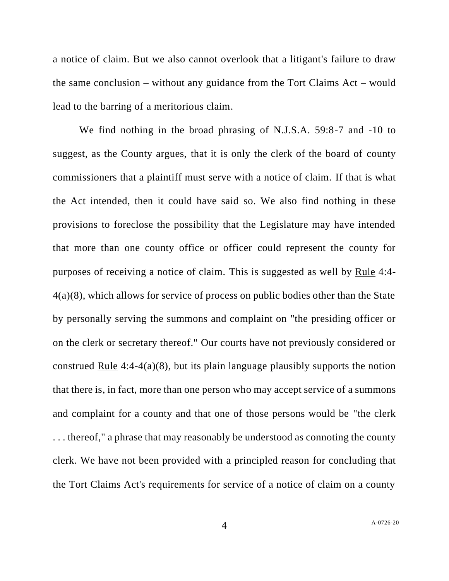a notice of claim. But we also cannot overlook that a litigant's failure to draw the same conclusion – without any guidance from the Tort Claims Act – would lead to the barring of a meritorious claim.

We find nothing in the broad phrasing of N.J.S.A. 59:8-7 and -10 to suggest, as the County argues, that it is only the clerk of the board of county commissioners that a plaintiff must serve with a notice of claim. If that is what the Act intended, then it could have said so. We also find nothing in these provisions to foreclose the possibility that the Legislature may have intended that more than one county office or officer could represent the county for purposes of receiving a notice of claim. This is suggested as well by Rule 4:4- 4(a)(8), which allows for service of process on public bodies other than the State by personally serving the summons and complaint on "the presiding officer or on the clerk or secretary thereof." Our courts have not previously considered or construed Rule 4:4-4(a)(8), but its plain language plausibly supports the notion that there is, in fact, more than one person who may accept service of a summons and complaint for a county and that one of those persons would be "the clerk . . . thereof," a phrase that may reasonably be understood as connoting the county clerk. We have not been provided with a principled reason for concluding that the Tort Claims Act's requirements for service of a notice of claim on a county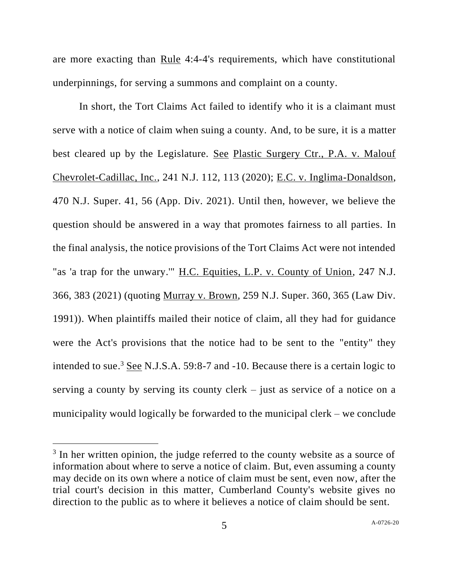are more exacting than Rule 4:4-4's requirements, which have constitutional underpinnings, for serving a summons and complaint on a county.

In short, the Tort Claims Act failed to identify who it is a claimant must serve with a notice of claim when suing a county. And, to be sure, it is a matter best cleared up by the Legislature. See Plastic Surgery Ctr., P.A. v. Malouf Chevrolet-Cadillac, Inc., 241 N.J. 112, 113 (2020); E.C. v. Inglima-Donaldson, 470 N.J. Super. 41, 56 (App. Div. 2021). Until then, however, we believe the question should be answered in a way that promotes fairness to all parties. In the final analysis, the notice provisions of the Tort Claims Act were not intended "as 'a trap for the unwary.'" H.C. Equities, L.P. v. County of Union, 247 N.J. 366, 383 (2021) (quoting Murray v. Brown, 259 N.J. Super. 360, 365 (Law Div. 1991)). When plaintiffs mailed their notice of claim, all they had for guidance were the Act's provisions that the notice had to be sent to the "entity" they intended to sue.<sup>3</sup> See N.J.S.A. 59:8-7 and -10. Because there is a certain logic to serving a county by serving its county clerk – just as service of a notice on a municipality would logically be forwarded to the municipal clerk – we conclude

<sup>&</sup>lt;sup>3</sup> In her written opinion, the judge referred to the county website as a source of information about where to serve a notice of claim. But, even assuming a county may decide on its own where a notice of claim must be sent, even now, after the trial court's decision in this matter, Cumberland County's website gives no direction to the public as to where it believes a notice of claim should be sent.